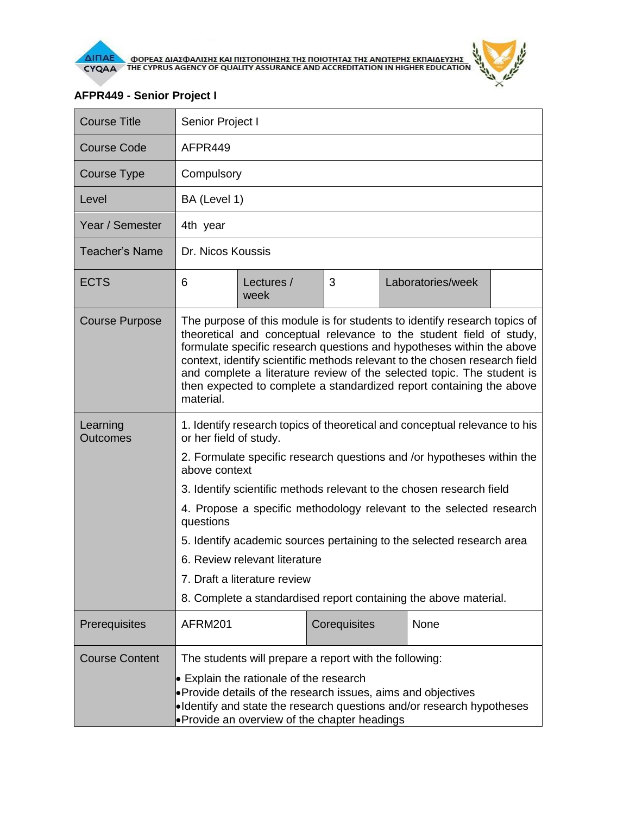

المنابع المنابع.<br>المنابع

## **AFPR449 - Senior Project I**

| <b>Course Title</b>         | Senior Project I                                                                                                                                                                                                                                                                                                                                                                                                                                                                                                                                                          |                    |              |  |                   |  |  |
|-----------------------------|---------------------------------------------------------------------------------------------------------------------------------------------------------------------------------------------------------------------------------------------------------------------------------------------------------------------------------------------------------------------------------------------------------------------------------------------------------------------------------------------------------------------------------------------------------------------------|--------------------|--------------|--|-------------------|--|--|
| <b>Course Code</b>          | AFPR449                                                                                                                                                                                                                                                                                                                                                                                                                                                                                                                                                                   |                    |              |  |                   |  |  |
| <b>Course Type</b>          | Compulsory                                                                                                                                                                                                                                                                                                                                                                                                                                                                                                                                                                |                    |              |  |                   |  |  |
| Level                       | BA (Level 1)                                                                                                                                                                                                                                                                                                                                                                                                                                                                                                                                                              |                    |              |  |                   |  |  |
| Year / Semester             | 4th year                                                                                                                                                                                                                                                                                                                                                                                                                                                                                                                                                                  |                    |              |  |                   |  |  |
| <b>Teacher's Name</b>       | Dr. Nicos Koussis                                                                                                                                                                                                                                                                                                                                                                                                                                                                                                                                                         |                    |              |  |                   |  |  |
| <b>ECTS</b>                 | 6                                                                                                                                                                                                                                                                                                                                                                                                                                                                                                                                                                         | Lectures /<br>week | 3            |  | Laboratories/week |  |  |
| <b>Course Purpose</b>       | The purpose of this module is for students to identify research topics of<br>theoretical and conceptual relevance to the student field of study,<br>formulate specific research questions and hypotheses within the above<br>context, identify scientific methods relevant to the chosen research field<br>and complete a literature review of the selected topic. The student is<br>then expected to complete a standardized report containing the above<br>material.                                                                                                    |                    |              |  |                   |  |  |
| Learning<br><b>Outcomes</b> | 1. Identify research topics of theoretical and conceptual relevance to his<br>or her field of study.<br>2. Formulate specific research questions and /or hypotheses within the<br>above context<br>3. Identify scientific methods relevant to the chosen research field<br>4. Propose a specific methodology relevant to the selected research<br>questions<br>5. Identify academic sources pertaining to the selected research area<br>6. Review relevant literature<br>7. Draft a literature review<br>8. Complete a standardised report containing the above material. |                    |              |  |                   |  |  |
| Prerequisites               | AFRM201                                                                                                                                                                                                                                                                                                                                                                                                                                                                                                                                                                   |                    | Corequisites |  | None              |  |  |
| <b>Course Content</b>       | The students will prepare a report with the following:<br>$\bullet$ Explain the rationale of the research<br>• Provide details of the research issues, aims and objectives<br>•Identify and state the research questions and/or research hypotheses<br>• Provide an overview of the chapter headings                                                                                                                                                                                                                                                                      |                    |              |  |                   |  |  |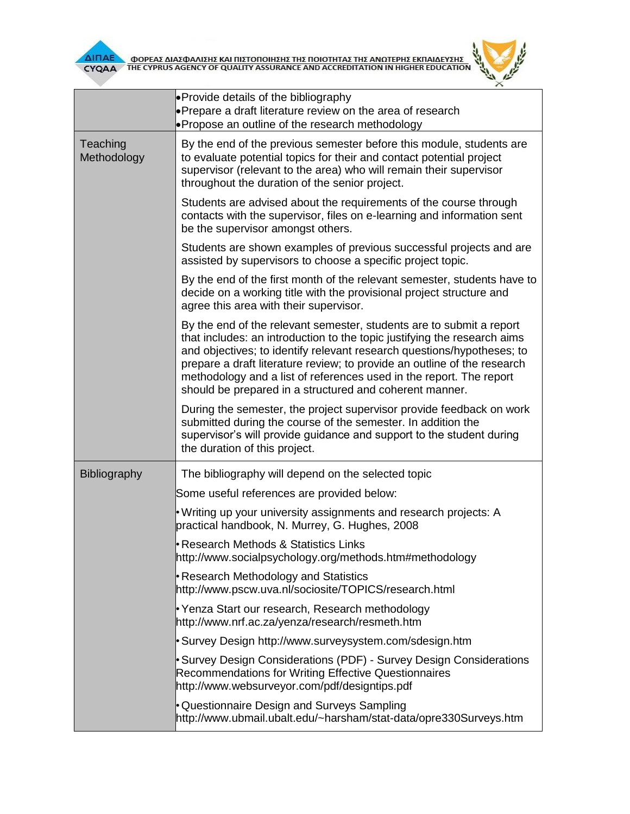

**AITIAE A OOPEAE AIAE DANIERE KAI TIIETOTOIRERE TRE TOIOTRTAE TRE ANOTEPRE EKTIAIAEYERE CYQAA FIRE CYPRUS AGENCY OF QUALITY ASSURANCE AND ACCREDITATION IN HIGHER EDUCATION** 



|                         | <b>Provide details of the bibliography</b><br>• Prepare a draft literature review on the area of research<br>• Propose an outline of the research methodology                                                                                                                                                                                                                                                                            |  |  |  |  |
|-------------------------|------------------------------------------------------------------------------------------------------------------------------------------------------------------------------------------------------------------------------------------------------------------------------------------------------------------------------------------------------------------------------------------------------------------------------------------|--|--|--|--|
| Teaching<br>Methodology | By the end of the previous semester before this module, students are<br>to evaluate potential topics for their and contact potential project<br>supervisor (relevant to the area) who will remain their supervisor<br>throughout the duration of the senior project.                                                                                                                                                                     |  |  |  |  |
|                         | Students are advised about the requirements of the course through<br>contacts with the supervisor, files on e-learning and information sent<br>be the supervisor amongst others.                                                                                                                                                                                                                                                         |  |  |  |  |
|                         | Students are shown examples of previous successful projects and are<br>assisted by supervisors to choose a specific project topic.                                                                                                                                                                                                                                                                                                       |  |  |  |  |
|                         | By the end of the first month of the relevant semester, students have to<br>decide on a working title with the provisional project structure and<br>agree this area with their supervisor.                                                                                                                                                                                                                                               |  |  |  |  |
|                         | By the end of the relevant semester, students are to submit a report<br>that includes: an introduction to the topic justifying the research aims<br>and objectives; to identify relevant research questions/hypotheses; to<br>prepare a draft literature review; to provide an outline of the research<br>methodology and a list of references used in the report. The report<br>should be prepared in a structured and coherent manner. |  |  |  |  |
|                         | During the semester, the project supervisor provide feedback on work<br>submitted during the course of the semester. In addition the<br>supervisor's will provide guidance and support to the student during<br>the duration of this project.                                                                                                                                                                                            |  |  |  |  |
| Bibliography            | The bibliography will depend on the selected topic                                                                                                                                                                                                                                                                                                                                                                                       |  |  |  |  |
|                         | Some useful references are provided below:                                                                                                                                                                                                                                                                                                                                                                                               |  |  |  |  |
|                         | • Writing up your university assignments and research projects: A<br>practical handbook, N. Murrey, G. Hughes, 2008                                                                                                                                                                                                                                                                                                                      |  |  |  |  |
|                         | Research Methods & Statistics Links<br>http://www.socialpsychology.org/methods.htm#methodology                                                                                                                                                                                                                                                                                                                                           |  |  |  |  |
|                         | Research Methodology and Statistics<br>http://www.pscw.uva.nl/sociosite/TOPICS/research.html                                                                                                                                                                                                                                                                                                                                             |  |  |  |  |
|                         | Yenza Start our research, Research methodology<br>http://www.nrf.ac.za/yenza/research/resmeth.htm                                                                                                                                                                                                                                                                                                                                        |  |  |  |  |
|                         | Survey Design http://www.surveysystem.com/sdesign.htm                                                                                                                                                                                                                                                                                                                                                                                    |  |  |  |  |
|                         | Survey Design Considerations (PDF) - Survey Design Considerations<br>Recommendations for Writing Effective Questionnaires<br>http://www.websurveyor.com/pdf/designtips.pdf                                                                                                                                                                                                                                                               |  |  |  |  |
|                         | • Questionnaire Design and Surveys Sampling<br>http://www.ubmail.ubalt.edu/~harsham/stat-data/opre330Surveys.htm                                                                                                                                                                                                                                                                                                                         |  |  |  |  |